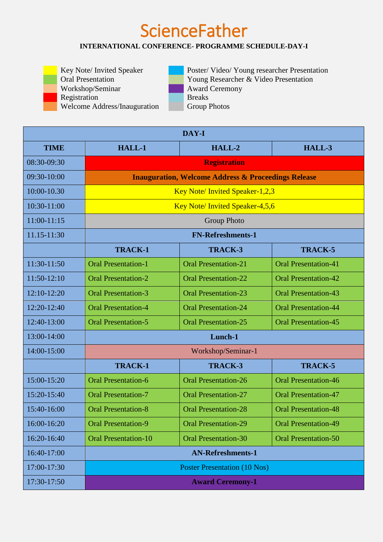## **ScienceFather**

## **INTERNATIONAL CONFERENCE- PROGRAMME SCHEDULE-DAY-I**

Workshop/Seminar **Award Ceremony** Registration<br>Welcome Address/Inauguration<br>Group Photos Welcome Address/Inauguration

Key Note/ Invited Speaker Poster/ Video/ Young researcher Presentation<br>Oral Presentation Young Researcher & Video Presentation Young Researcher & Video Presentation

| DAY-I         |                                                                |                             |                             |  |  |
|---------------|----------------------------------------------------------------|-----------------------------|-----------------------------|--|--|
| <b>TIME</b>   | HALL-1                                                         | $HALL-2$                    | HALL-3                      |  |  |
| 08:30-09:30   | <b>Registration</b>                                            |                             |                             |  |  |
| 09:30-10:00   | <b>Inauguration, Welcome Address &amp; Proceedings Release</b> |                             |                             |  |  |
| 10:00-10.30   | Key Note/Invited Speaker-1,2,3                                 |                             |                             |  |  |
| 10:30-11:00   | Key Note/Invited Speaker-4,5,6                                 |                             |                             |  |  |
| $11:00-11:15$ | <b>Group Photo</b>                                             |                             |                             |  |  |
| 11.15-11:30   | <b>FN-Refreshments-1</b>                                       |                             |                             |  |  |
|               | <b>TRACK-1</b>                                                 | <b>TRACK-3</b>              | <b>TRACK-5</b>              |  |  |
| $11:30-11:50$ | <b>Oral Presentation-1</b>                                     | <b>Oral Presentation-21</b> | <b>Oral Presentation-41</b> |  |  |
| $11:50-12:10$ | <b>Oral Presentation-2</b>                                     | <b>Oral Presentation-22</b> | <b>Oral Presentation-42</b> |  |  |
| $12:10-12:20$ | <b>Oral Presentation-3</b>                                     | <b>Oral Presentation-23</b> | <b>Oral Presentation-43</b> |  |  |
| 12:20-12:40   | <b>Oral Presentation-4</b>                                     | <b>Oral Presentation-24</b> | <b>Oral Presentation-44</b> |  |  |
| 12:40-13:00   | <b>Oral Presentation-5</b>                                     | <b>Oral Presentation-25</b> | <b>Oral Presentation-45</b> |  |  |
| 13:00-14:00   | Lunch-1                                                        |                             |                             |  |  |
| 14:00-15:00   | Workshop/Seminar-1                                             |                             |                             |  |  |
|               | <b>TRACK-1</b>                                                 | <b>TRACK-3</b>              | <b>TRACK-5</b>              |  |  |
| 15:00-15:20   | <b>Oral Presentation-6</b>                                     | <b>Oral Presentation-26</b> | <b>Oral Presentation-46</b> |  |  |
| 15:20-15:40   | <b>Oral Presentation-7</b>                                     | <b>Oral Presentation-27</b> | <b>Oral Presentation-47</b> |  |  |
| 15:40-16:00   | <b>Oral Presentation-8</b>                                     | <b>Oral Presentation-28</b> | <b>Oral Presentation-48</b> |  |  |
| 16:00-16:20   | <b>Oral Presentation-9</b>                                     | <b>Oral Presentation-29</b> | <b>Oral Presentation-49</b> |  |  |
| 16:20-16:40   | <b>Oral Presentation-10</b>                                    | <b>Oral Presentation-30</b> | <b>Oral Presentation-50</b> |  |  |
| 16:40-17:00   | <b>AN-Refreshments-1</b>                                       |                             |                             |  |  |
| 17:00-17:30   | <b>Poster Presentation (10 Nos)</b>                            |                             |                             |  |  |
| 17:30-17:50   | <b>Award Ceremony-1</b>                                        |                             |                             |  |  |